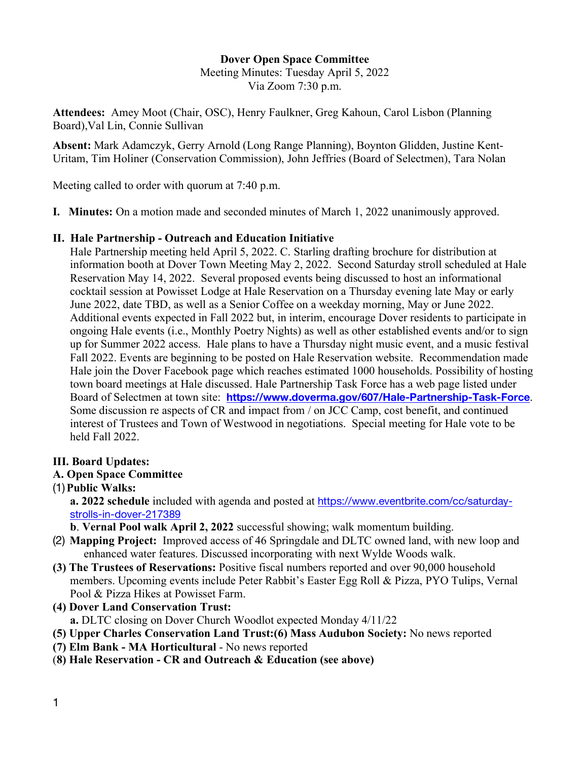# **Dover Open Space Committee**

Meeting Minutes: Tuesday April 5, 2022 Via Zoom 7:30 p.m.

**Attendees:** Amey Moot (Chair, OSC), Henry Faulkner, Greg Kahoun, Carol Lisbon (Planning Board),Val Lin, Connie Sullivan

**Absent:** Mark Adamczyk, Gerry Arnold (Long Range Planning), Boynton Glidden, Justine Kent-Uritam, Tim Holiner (Conservation Commission), John Jeffries (Board of Selectmen), Tara Nolan

Meeting called to order with quorum at 7:40 p.m.

**I. Minutes:** On a motion made and seconded minutes of March 1, 2022 unanimously approved.

#### **II. Hale Partnership - Outreach and Education Initiative**

Hale Partnership meeting held April 5, 2022. C. Starling drafting brochure for distribution at information booth at Dover Town Meeting May 2, 2022. Second Saturday stroll scheduled at Hale Reservation May 14, 2022. Several proposed events being discussed to host an informational cocktail session at Powisset Lodge at Hale Reservation on a Thursday evening late May or early June 2022, date TBD, as well as a Senior Coffee on a weekday morning, May or June 2022. Additional events expected in Fall 2022 but, in interim, encourage Dover residents to participate in ongoing Hale events (i.e., Monthly Poetry Nights) as well as other established events and/or to sign up for Summer 2022 access. Hale plans to have a Thursday night music event, and a music festival Fall 2022. Events are beginning to be posted on Hale Reservation website. Recommendation made Hale join the Dover Facebook page which reaches estimated 1000 households. Possibility of hosting town board meetings at Hale discussed. Hale Partnership Task Force has a web page listed under Board of Selectmen at town site: **https://www.doverma.gov/607/Hale-Partnership-Task-Force**. Some discussion re aspects of CR and impact from / on JCC Camp, cost benefit, and continued interest of Trustees and Town of Westwood in negotiations. Special meeting for Hale vote to be held Fall 2022.

## **III. Board Updates:**

## **A. Open Space Committee**

(1)**Public Walks:**

**a. 2022 schedule** included with agenda and posted at https://www.eventbrite.com/cc/saturdaystrolls-in-dover-217389

**b**. **Vernal Pool walk April 2, 2022** successful showing; walk momentum building.

- (2) **Mapping Project:** Improved access of 46 Springdale and DLTC owned land, with new loop and enhanced water features. Discussed incorporating with next Wylde Woods walk.
- **(3) The Trustees of Reservations:** Positive fiscal numbers reported and over 90,000 household members. Upcoming events include Peter Rabbit's Easter Egg Roll & Pizza, PYO Tulips, Vernal Pool & Pizza Hikes at Powisset Farm.
- **(4) Dover Land Conservation Trust: a.** DLTC closing on Dover Church Woodlot expected Monday 4/11/22
- **(5) Upper Charles Conservation Land Trust:(6) Mass Audubon Society:** No news reported
- **(7) Elm Bank - MA Horticultural** No news reported
- (**8) Hale Reservation - CR and Outreach & Education (see above)**